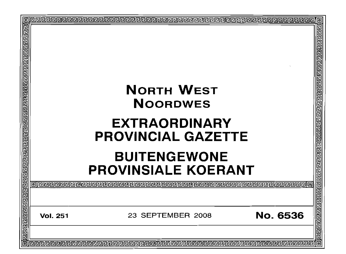| o<br>厄 | ▣<br>खेख बाग बाग बाग बाग बाग बाग बाग<br><b>NORTH WEST</b><br><b>NOORDWES</b><br>जियेग्वलिजिजिजिजिजिजिजिजिजिजिजिजिजिजिजि<br><b>EXTRAORDINARY</b><br><b>PROVINCIAL GAZETTE</b><br><b>BUITENGEWONE</b><br><b>PROVINSIALE KOERANT</b> |  |
|--------|-----------------------------------------------------------------------------------------------------------------------------------------------------------------------------------------------------------------------------------|--|
|        |                                                                                                                                                                                                                                   |  |
|        | <b>No. 6536</b><br>23 SEPTEMBER 2008<br><b>Vol. 251</b>                                                                                                                                                                           |  |
| 扃      | 回<br><b>rederederedere de de la de de la decedere de la decedera de la decedera de la decedera de la decedera de la de</b>                                                                                                        |  |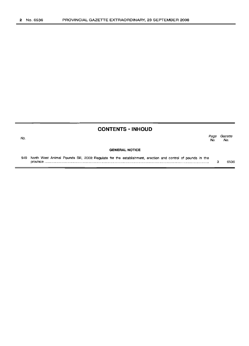No.

# **CONTENTS ·INHOUD**

|                       | No. | Page Gazette<br>No. |
|-----------------------|-----|---------------------|
| <b>GENERAL NOTICE</b> |     |                     |

549 North West Animal Pounds Bill, 2008: Regulate for the establishment, erection and control of pounds in the province . 3 6536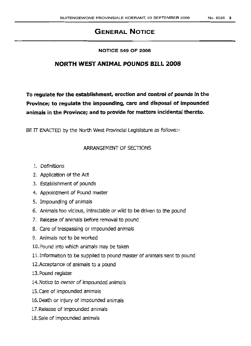# **GENERAL NOTICE**

## **NOTICE 549 OF 2008**

# **NORTH WEST ANIMAL POUNDS BILL 2008**

To regulate for the establishment, erection and control of pounds in the **Province; to regulate the impounding, care and disposal of impounded animals h1 the Province; and to provide for matters incidental thereto.**

BE IT ENACTED by the North West Provincial Legislature as follows:-

# ARRANGEMENT OF SECTIONS

- 1. Definitions
- 2. Application of the Act
- 3. Establishment of pounds
- 4. Appointment of Pound master
- 5. Impounding of animals
- 6. Animals too vicious, intractable or wild to be driven to the pound
- 7. Release of animals before removal to pound
- 8. Care of trespassing or impounded animals
- 9. Animals not to be worked
- 10.Pound into which animals may be taken
- 11.Information to be supplied to pound master of animals sent to pound
- 12.Acceptance of animals to a pound
- 13.Pound register
- 14.Notice to owner of impounded animals
- 15.Care of impounded animals
- 16. Death or injury of impounded animals
- 17.Release of impounded animals
- 18.Sale of impounded animals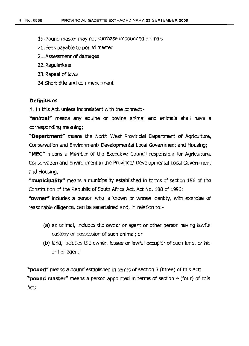19.Pound master may not purchase impounded animals

- 20.Fees payable to pound master
- 21.Assessment of damages
- 22. Regulations
- 23.Repeal of laws
- 24.Short title and commencement

### **Definitions**

1. In this Act, unless inconsistent with the context:-

**"animal'"** means any equine or bovine animal and animals shall have a corresponding meaning;

**"Department"** means the North West Provincial Department of Agriculture, Conservation and Environment/ Developmental Local Government and Housing;

**"MEC"** means a Member of the Executive Council responsible for Agriculture, Conservation and Environment in the Province/ Developmental Local Government and Housing;

**"municipality"** means a municipality established in terms of section 156 of the Constitution of the Republic of South Africa Act, Act No. 108 of 1996;

"owner" includes a person who is known or whose identity, with exercise of reasonable diligence, can be ascertained and, in relation to:-

- (a) an animal, includes the owner or agent or other person having lawful custody or possession of such animal; or
- (b) land, includes the owner, lessee or lawful occupier of such land, or his or her agent;

**"pound"** means a pound established in terms of section 3 (three) of this Act; **"pound** master" means a person appointed In terms of section 4 (four) of this Act;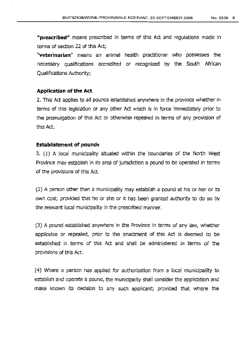**"prescribed"** means prescribed in terms of this Act and regulations made in terms of section 22 of this Act;

"veterinarian" means an animal health practitioner who possesses the necessary qualifications accredited or recognized by the South African Qualiflcations Authoritv:

# **Application of the Act**

2. This Act applies to all pounds established anywhere in the province whether in terms of this legislation or any other Act which is in force immediately prior to the promulgation of this Act or otherwise repealed in terms of any provision of this Ad.

## **Establishment of pounds**

3. (1) A local municipality situated within the boundaries of the North West Province may establish in its area of jurisdiction a pound to be operated in terms of the provisions of this Act.

(2) A person other than a municipality may establish a pound at his or her or its own cost, provided that he or she or it has been granted authority to do so by the relevant local municipality in the prescribed manner.

(3) A pound established anywhere in the Province in terms of any law, whether applicable or repealed, prior to the enactment of this Act is deemed to be established in terms of this Act and shall be administered in terms of the provisions of this Act.

(4) Where a person has applied for authorization from a local municipality to establish and operate a pound, the municipality shall consider the application and make known its decision to any such applicant; provided that where the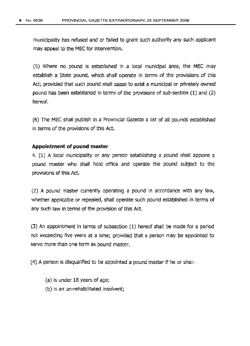'municipality has refused and or failed to grant such authority any such applicant may appeal to the MEC for intervention.

(5) Where no pound is established in a local municipal area, the MEC may establish a State pound, which shall operate in terms of the provisions of this Act; provided that such pound shall cease to exist a municipal or privately owned pound has been established in terms of the provisions of sub-section (1) and (2) hereof.

(6) The MEC shall publish in a Provincial Gazette a list of all pounds established in terms of the provisions of this Act.

## **Appoinbnent of pound master**

4. (1) A local municipality or any person establishing a pound shall appoint a pound master who shall hold office and operate the pound subject to the provisions of this Act.

(2) A pound master currently operating a pound in accordance with any law, whether applicable or repealed, shall operate such pound established in terms of any such law in terms of the provision of this Act.

(3) An appointment in terms of subsection (1) hereof shall be made for a period not exceeding five years at a time; provided that a person may be appointed to serve more than one term as pound master.

(4) A person is disqualified to be appointed a pound masterif he or she.-

- (a) is under 18 years of age;
- (b) is an un-rehabilitated insolvent;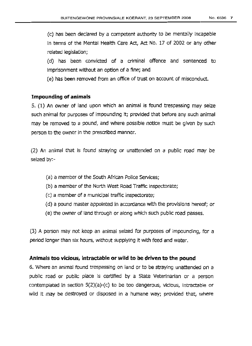(c) has been declared by a competent authority to be mentally incapable In terms of the Mental Health Care Act, Act No. 17 of 2002 or any other related legislation;

(d) has been convicted of a criminal offence and sentenced to imprisonment without an option of a fine; and

(e) has been removed from an office of trust on account of misconduct.

## **Impounding of animals**

S. (1) An owner of land upon which an animal is found trespassing may seize such animal for purposes of impounding it; provided that before any such animal may be removed to a pound, and where possible notice must be given by such person to the owner in the prescribed manner.

(2) An animal that is found straying or unattended on a public road may be seized by:-

- (a) a member of the South African Police Services;
- (b) a member of the North West Road Traffic inspectorate;
- (c) a member of a municipal traffic inspectorate;
- (d) a pound master appointed in accordance with the provisions hereof; or
- (e) the owner of land through or along which such public road passes.

(3) A person may not keep an animal seized for purposes of impounding, for a period longer than six hours, without supplying it with feed and water.

#### **Animals too vicious, intractable or wild to be driven to the pound**

6. Where an animal found trespassing on land or to be straying unattended on a public road or public place is certified by a State Veterinarian or a person contemplated in section 5(2)(a}-(c) to be too dangerous, vicious, intractable or wild it may be destroyed or disposed in a humane way; provided that, where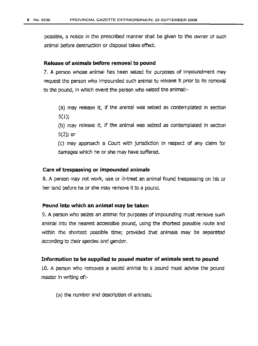posslble, a notice in the prescribed manner shall be given to the owner of such animal before destruction or disposal takes effect.

## **Release of animals before removal to pound**

7. A person whose animal has been seized for purposes of impoundment may request the person who impounded such animal to release it prior to its removal to the pound, in which event the person who seized the animal:-

(a) may release it, if the animal was seized as contemplated in section 5(1);

(b) may release it, if the animal was seized as contemplated in section 5(2); or

(c) may approach a Court with junsdlctlon in respect of any claim for damages which he or she may have suffered.

#### **Care of trespassing or impounded animals**

8. A person may not work, use or ill-treat an animal found trespassing on his or her land before he or she may remove it to a pound.

#### **Pound into which an animal may be taken**

9. A person who seizes an animal for purposes of impounding must remove such animal into the nearest accessible pound, using the shortest possible route and within the shortest possible time; provided that animals may be separated according to their species and gender.

#### **Information to be supplied to pound master of animals sent to pound**

10. A person who removes a seized animal to a pound must advise the pound master in writing of:-

(a) the number and description of animals;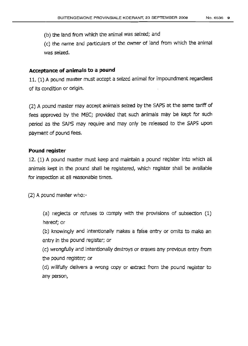(b) the land from which the animal was seized; and

(c) the name and particulars of the owner of land from which the animal was seized.

# **Acceptance of animals to a pound**

11. (1) A pound master must accept a seized animal for impoundment regardless of its condition or origin.

(2) A pound master may accept animals seized by the SAPS at the same tariff of fees approved by the MEC; provided that such animals may be kept for such period as the SAPS may require and may only be released to the SAPS upon payment of pound fees.

# **Pound register**

 $12.$  (1) A pound master must keep and maintain a pound register into which all animals kept in the pound shall be registered, which register shall be available for inspection at all reasonable times.

(2) A pound master who:-

(a) neglects or refuses to comply with the provisions of subsection (1) hereof; or

(b) knowingly and intentionally makes a false entry or omits to make an entry in the pound register; or

(c) wrongfully and intentionally destroys or erases any previous entry from the pound register; or

(d) willfully delivers a wrong copy or extract from the pound register to any person,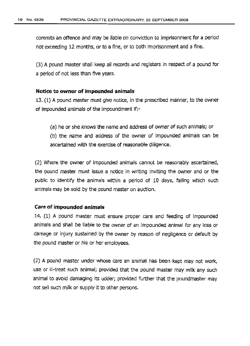commits an offence and may be liable on conviction to imprisonment for a period not exceeding 12 months, or to a fine, or to both imprisonment and a fine.

(3) A pound master shall keep all records and registers in respect of a pound for a period of not less than five years.

# **Notice to owner of impounded animals**

13. (1) A pound master must give notice, in the prescribed manner, to the owner of impounded animals of the Impoundment if:-

(a) he or she knows the name and address of owner of such animals; or (b) the name and address of the owner of impounded animals can be ascertained with the exercise of reasonable diligence.

(2) Where the owner of impounded animals cannot be reasonably ascertained, the pound master must issue a notice in writing inviting the owner and or the public to identify the animals within a period of 10 days, failing which such animals may be sold by the pound master on auction.

# **Care of impounded animals**

14. (1) A pound master must ensure proper care and feeding of impounded animals and shall be liable to the owner of an impounded animal for any loss or damage or injury sustained by the owner by reason of negligence or default by the pound master or his or her employees.

(2) A pound master under whose care an animal has been kept may not work, use or ill-treat such animal; provided that the pound master may milk any such animal to avoid damaging its udder; provided further that the poundmaster may not sell such milk or supply It to other persons.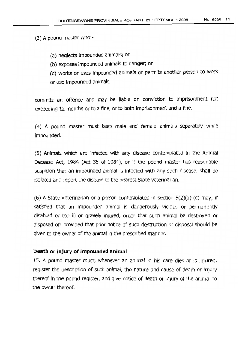$(3)$  A pound master who:-

- (a) neglects impounded animals; or
- (b) exposes impounded animals to danger; or

(c) works or uses impounded animals or permits another person to work or use impounded animals,

commits an offence and may be liable on conviction to imprisonment not exceeding 12 months or to a fine, or to both imprisonment and a fine.

(4) A pound master must keep male and female animals separately while impounded.

(5) Animals which are infected with any disease contemplated in the Animal Decease Act, 1984 (Act 35 of 1984), or if the pound master has reasonable susplclon that an impounded animal is infected with any such disease, shall be isolated and report the disease to the nearest State veterinarian.

 $(6)$  A State Veterinarian or a person contemplated in section  $5(2)(a)-(c)$  may, if satisfied that an impounded animal is dangerously vicious or permanently disabled or too ill or gravely injured, order that such animal be destroyed or disposed of: provided that prior notice of such destruction or disposal should be given to the owner of the animal in the prescribed manner.

## **Death or inJury of impounded animal**

15. A pound master must, whenever an animal In his care dies or is injured, register the description of such animal, the nature and cause of death or injury thereof in the pound register, and give notice of death or injury of the animal to the owner thereof.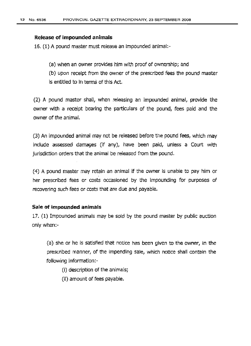#### **Release of impounded animals**

16. (1) A pound master must release an impounded animal:-

(a) when an owner provides him with proof of ownershlp: and

(b) upon receipt from the owner of the prescribed fees the pound master is entitled to In terms of this Act.

(2) A pound master shall, when releasing an impounded animal, provide the owner with a receipt bearing the particulars of the pound, fees paid and the owner of the animal.

(3) An impounded animal may not be released before the pound fees, which may include assessed damages (if any), have been paid, unless a Court with jurisdiction orders that the animal be released from the pound.

(4) A pound master may retain an animal if the owner is unable to pay him or her prescribed fees or costs occasioned by the impounding for purposes of recovering such fees or costs that are due and payable.

## **Sale of impounded animals**

17, (1) Impounded animals may be sold by the pound master by public auction only when:-

(a) she or he is satisfied that notice has been given to the owner, in the prescribed manner, of the impending sale, which notice shall contain the following information:-

(i) description of the animals;

(ii) amount of fees payable.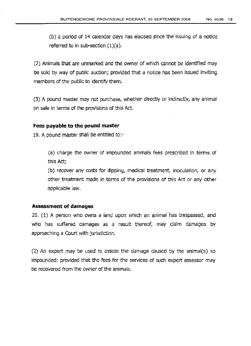(b) a period of 14 calendar days has elapsed since the issuing of a notice referred to in sub-section  $(1)(a)$ .

(2) Animals that are unmarked and the owner of which cannot be identified may be sold by way of public auction; provided that a notice has been issued inviting members of the public to identify them.

(3) A pound master may not purchase, whether directly or indirectly, any animal on sale in terms of the provisions of this Act.

# **Fees pavable to the pound master**

19. A pound master shall be entitled to:-

(a) charge the owner of impounded animals fees prescribed in terms of this Act;

(b) recover any costs for dipping, medical treatment, inoculation, or any other treatment made in terms of the provisions of this Act or any other applicable law.

## **Assessment of damages**

20. (1) A person who owns a land upon which an animal has trespassed, and who has suffered damages as a result thereof, may claim damages by approaching a Court with jurisdiction.

(2) An expert may be used to assess the damage caused by the animal(s) so impounded: provided that the fees for the services of such expert assessor may be recovered from the owner of the animals.